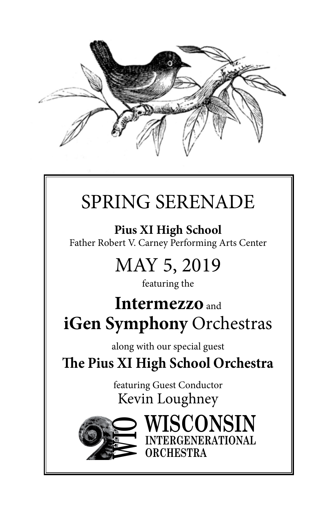

# SPRING SERENADE

**Pius XI High School** Father Robert V. Carney Performing Arts Center

# MAY 5, 2019

featuring the

# **Intermezzo** and **iGen Symphony** Orchestras

along with our special guest

**The Pius XI High School Orchestra**

featuring Guest Conductor Kevin Loughney

**ORCHESTRA**

**SCONSIN** 

**INTERGENERATIONAL**

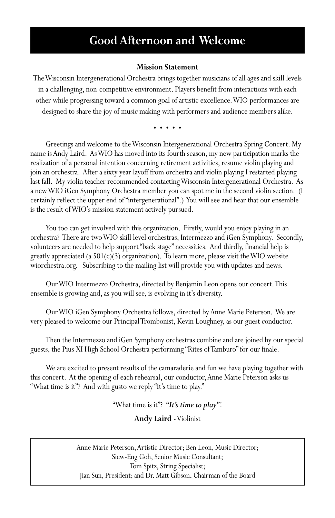## **Good Afternoon and Welcome**

#### **Mission Statement**

The Wisconsin Intergenerational Orchestra brings together musicians of all ages and skill levels in a challenging, non-competitive environment. Players benefit from interactions with each other while progressing toward a common goal of artistic excellence. WIO performances are designed to share the joy of music making with performers and audience members alike.

• • • • •

Greetings and welcome to the Wisconsin Intergenerational Orchestra Spring Concert. My name is Andy Laird. As WIO has moved into its fourth season, my new participation marks the realization of a personal intention concerning retirement activities, resume violin playing and join an orchestra. After a sixty year layoff from orchestra and violin playing I restarted playing last fall. My violin teacher recommended contacting Wisconsin Intergenerational Orchestra. As a new WIO iGen Symphony Orchestra member you can spot me in the second violin section. (I certainly reflect the upper end of "intergenerational".) You will see and hear that our ensemble is the result of WIO's mission statement actively pursued.

You too can get involved with this organization. Firstly, would you enjoy playing in an orchestra? There are two WIO skill level orchestras, Intermezzo and iGen Symphony. Secondly, volunteers are needed to help support "back stage" necessities. And thirdly, financial help is greatly appreciated (a  $501(c)(3)$  organization). To learn more, please visit the WIO website wiorchestra.org. Subscribing to the mailing list will provide you with updates and news.

Our WIO Intermezzo Orchestra, directed by Benjamin Leon opens our concert. This ensemble is growing and, as you will see, is evolving in it's diversity.

Our WIO iGen Symphony Orchestra follows, directed by Anne Marie Peterson. We are very pleased to welcome our Principal Trombonist, Kevin Loughney, as our guest conductor.

Then the Intermezzo and iGen Symphony orchestras combine and are joined by our special guests, the Pius XI High School Orchestra performing "Rites of Tamburo" for our finale.

We are excited to present results of the camaraderie and fun we have playing together with this concert. At the opening of each rehearsal, our conductor, Anne Marie Peterson asks us "What time is it"? And with gusto we reply "It's time to play."

"What time is it"? *"It's time to play"*!

**Andy Laird** - Violinist

Anne Marie Peterson, Artistic Director; Ben Leon, Music Director; Siew-Eng Goh, Senior Music Consultant; Tom Spitz, String Specialist; Jian Sun, President; and Dr. Matt Gibson, Chairman of the Board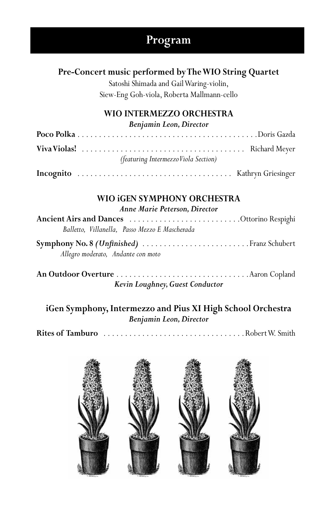## **Program**

## **Pre-Concert music performed by The WIO String Quartet**

Satoshi Shimada and Gail Waring-violin, Siew-Eng Goh-viola, Roberta Mallmann-cello

## **WIO INTERMEZZO ORCHESTRA**

*Benjamin Leon, Director*

| (featuring Intermezzo Viola Section) |
|--------------------------------------|
|                                      |

## **WIO iGEN SYMPHONY ORCHESTRA**

*Anne Marie Peterson, Director*

| Balletto, Villanella, Passo Mezzo E Mascherada |  |
|------------------------------------------------|--|
| Symphony No. 8 (Unfinished)  Franz Schubert    |  |

 *Allegro moderato, Andante con moto* 

**An Outdoor Overture** . Aaron Copland *Kevin Loughney, Guest Conductor*

**iGen Symphony, Intermezzo and Pius XI High School Orchestra** *Benjamin Leon, Director*

Rites of Tamburo **...................................**.Robert W. Smith

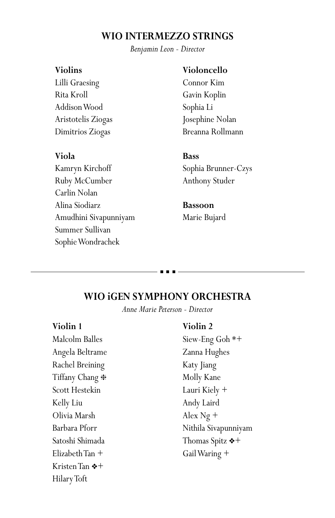## **WIO INTERMEZZO STRINGS**

*Benjamin Leon - Director*

#### **Violins**

Lilli Graesing Rita Kroll Addison Wood Aristotelis Ziogas Dimitrios Ziogas

#### **Viola**

Kamryn Kirchoff Ruby McCumber Carlin Nolan Alina Siodiarz Amudhini Sivapunniyam Summer Sullivan Sophie Wondrachek

#### **Violoncello**

Connor Kim Gavin Koplin Sophia Li Josephine Nolan Breanna Rollmann

#### **Bass**

Sophia Brunner-Czys Anthony Studer

### **Bassoon** Marie Bujard

#### **WIO iGEN SYMPHONY ORCHESTRA**

*Anne Marie Peterson - Director*

#### **Violin 1**

Malcolm Balles Angela Beltrame Rachel Breining Tiffany Chang  $*$ Scott Hestekin Kelly Liu Olivia Marsh Barbara Pforr Satoshi Shimada Elizabeth Tan + Kristen Tan  $*+$ Hilary Toft

#### **Violin 2**

Siew-Eng Goh \*+ Zanna Hughes Katy Jiang Molly Kane Lauri Kiely + Andy Laird Alex Ng + Nithila Sivapunniyam Thomas Spitz  $*+$ Gail Waring +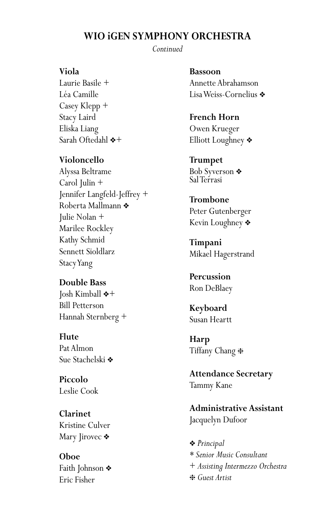## **WIO iGEN SYMPHONY ORCHESTRA**

*Continued*

#### **Viola**

Laurie Basile + Léa Camille Casey Klepp + Stacy Laird Eliska Liang Sarah Oftedahl  $*+$ 

#### **Violoncello**

Alyssa Beltrame Carol Julin + Jennifer Langfeld-Jeffrey + Roberta Mallmann ❖ Julie Nolan + Marilee Rockley Kathy Schmid Sennett Sioldlarz Stacy Yang

#### **Double Bass**

 $\lceil \cosh$  Kimball  $*+$ Bill Petterson Hannah Sternberg +

**Flute** Pat Almon Sue Stachelski **❖** 

**Piccolo** Leslie Cook

**Clarinet** Kristine Culver Mary Jirovec ❖

**Oboe** Faith Johnson  $\ast$ Eric Fisher

**Bassoon** Annette Abrahamson Lisa Weiss-Cornelius ❖

**French Horn** Owen Krueger Elliott Loughney  $\clubsuit$ 

**Trumpet** Bob Syverson  $\triangleleft$ Sal Terrasi

**Trombone** Peter Gutenberger Kevin Loughney  $\triangleleft$ 

**Timpani** Mikael Hagerstrand

**Percussion** Ron DeBlaey

**Keyboard** Susan Heartt

**Harp** Tiffany Chang  $*$ 

**Attendance Secretary** Tammy Kane

**Administrative Assistant** Jacquelyn Dufoor

v *Principal \* Senior Music Consultant* + *Assisting Intermezzo Orchestra* h *Guest Artist*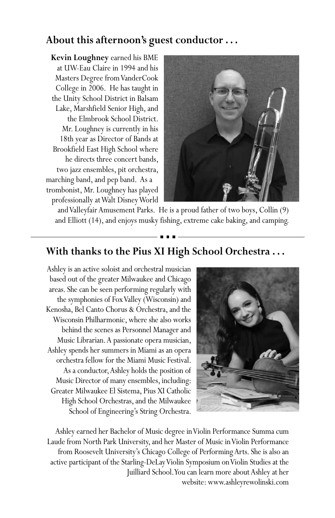## **About this afternoon's guest conductor . . .**

**Kevin Loughney** earned his BME at UW-Eau Claire in 1994 and his Masters Degree from VanderCook College in 2006. He has taught in the Unity School District in Balsam Lake, Marshfield Senior High, and the Elmbrook School District. Mr. Loughney is currently in his 18th year as Director of Bands at Brookfield East High School where he directs three concert bands, two jazz ensembles, pit orchestra, marching band, and pep band. As a trombonist, Mr. Loughney has played professionally at Walt Disney World



and Valleyfair Amusement Parks. He is a proud father of two boys, Collin (9) and Elliott (14), and enjoys musky fishing, extreme cake baking, and camping.

## **With thanks to the Pius XI High School Orchestra . . .**

Ashley is an active soloist and orchestral musician based out of the greater Milwaukee and Chicago areas. She can be seen performing regularly with the symphonies of Fox Valley (Wisconsin) and Kenosha, Bel Canto Chorus & Orchestra, and the Wisconsin Philharmonic, where she also works behind the scenes as Personnel Manager and Music Librarian. A passionate opera musician, Ashley spends her summers in Miami as an opera orchestra fellow for the Miami Music Festival. As a conductor, Ashley holds the position of Music Director of many ensembles, including: Greater Milwaukee El Sistema, Pius XI Catholic High School Orchestras, and the Milwaukee School of Engineering's String Orchestra.



Ashley earned her Bachelor of Music degree in Violin Performance Summa cum Laude from North Park University, and her Master of Music in Violin Performance from Roosevelt University's Chicago College of Performing Arts. She is also an active participant of the Starling-DeLay Violin Symposium on Violin Studies at the Juilliard School. You can learn more about Ashley at her website: www.ashleyrewolinski.com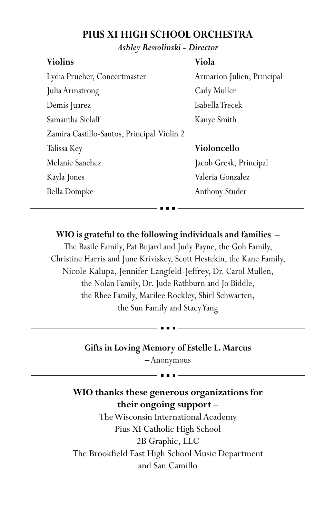## **PIUS XI HIGH SCHOOL ORCHESTRA**

#### *Ashley Rewolinski - Director*

#### **Violins**

Lydia Prueher, Concertmaster Julia Armstrong Demis Juarez Samantha Sielaff Zamira Castillo-Santos, Principal Violin 2 Talissa Key Melanie Sanchez Kayla Jones Bella Dompke

#### **Viola**

Armarion Julien, Principal Cady Muller Isabella Trecek Kanye Smith

## **Violoncello**

Jacob Gresk, Principal Valeria Gonzalez Anthony Studer

## **WIO is grateful to the following individuals and families –**

The Basile Family, Pat Bujard and Judy Payne, the Goh Family, Christine Harris and June Kriviskey, Scott Hestekin, the Kane Family, Nicole Kalupa, Jennifer Langfeld-Jeffrey, Dr. Carol Mullen, the Nolan Family, Dr. Jude Rathburn and Jo Biddle, the Rhee Family, Marilee Rockley, Shirl Schwarten, the Sun Family and Stacy Yang

#### **Gifts in Loving Memory of Estelle L. Marcus**

**–** Anonymous

## **WIO thanks these generous organizations for their ongoing support –**

The Wisconsin International Academy Pius XI Catholic High School 2B Graphic, LLC The Brookfield East High School Music Department and San Camillo